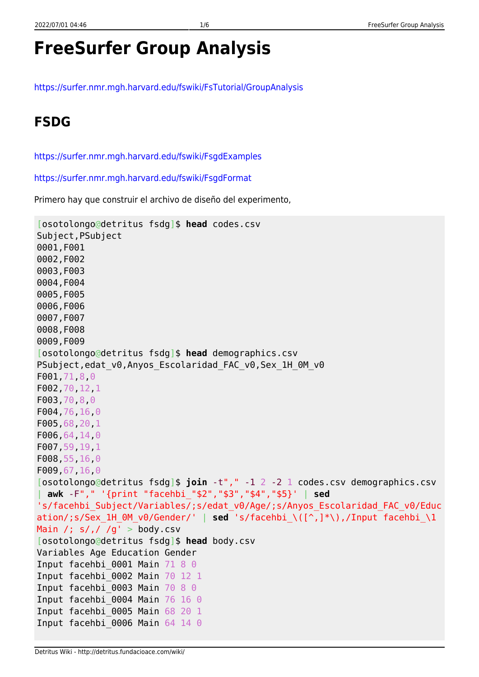# **FreeSurfer Group Analysis**

<https://surfer.nmr.mgh.harvard.edu/fswiki/FsTutorial/GroupAnalysis>

### **FSDG**

<https://surfer.nmr.mgh.harvard.edu/fswiki/FsgdExamples>

<https://surfer.nmr.mgh.harvard.edu/fswiki/FsgdFormat>

Primero hay que construir el archivo de diseño del experimento,

```
[osotolongo@detritus fsdg]$ head codes.csv
Subject,PSubject
0001,F001
0002,F002
0003,F003
0004,F004
0005,F005
0006,F006
0007,F007
0008,F008
0009,F009
[osotolongo@detritus fsdg]$ head demographics.csv
PSubject, edat v0, Anyos Escolaridad FAC v0, Sex 1H 0M v0
F001,71,8,0
F002,70,12,1
F003,70,8,0
F004,76,16,0
F005,68,20,1
F006,64,14,0
F007,59,19,1
F008,55,16,0
F009,67,16,0
[osotolongo@detritus fsdg]$ join -t"," -1 2 -2 1 codes.csv demographics.csv
 | awk -F"," '{print "facehbi_"$2","$3","$4","$5}' | sed
's/facehbi_Subject/Variables/;s/edat_v0/Age/;s/Anyos_Escolaridad_FAC_v0/Educ
ation/;s/Sex_1H_0M_v0/Gender/' | sed 's/facehbi_\([^,]*\),/Input facehbi_\1
Main /; s/, / /g' > body.csv
[osotolongo@detritus fsdg]$ head body.csv
Variables Age Education Gender
Input facehbi 0001 Main 71 8 0
Input facehbi_0002 Main 70 12 1
Input facehbi 0003 Main 70 8 0
Input facehbi_0004 Main 76 16 0
Input facehbi_0005 Main 68 20 1
Input facehbi 0006 Main 64 14 0
```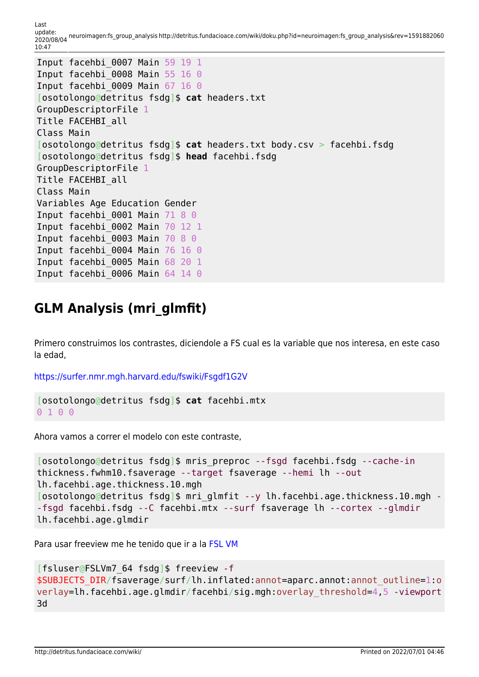Last<br>update: update: 2020/08/04 neuroimagen:fs\_group\_analysis http://detritus.fundacioace.com/wiki/doku.php?id=neuroimagen:fs\_group\_analysis&rev=1591882060 10:47

```
Input facehbi_0007 Main 59 19 1
Input facehbi 0008 Main 55 16 0
Input facehbi 0009 Main 67 16 0
[osotolongo@detritus fsdg]$ cat headers.txt
GroupDescriptorFile 1
Title FACEHBI_all
Class Main
[osotolongo@detritus fsdg]$ cat headers.txt body.csv > facehbi.fsdg
[osotolongo@detritus fsdg]$ head facehbi.fsdg
GroupDescriptorFile 1
Title FACEHBI_all
Class Main
Variables Age Education Gender
Input facehbi 0001 Main 71 8 0
Input facehbi_0002 Main 70 12 1
Input facehbi 0003 Main 70 8 0
Input facehbi_0004 Main 76 16 0
Input facehbi_0005 Main 68 20 1
Input facehbi 0006 Main 64 14 0
```
#### **GLM Analysis (mri\_glmfit)**

Primero construimos los contrastes, diciendole a FS cual es la variable que nos interesa, en este caso la edad,

<https://surfer.nmr.mgh.harvard.edu/fswiki/Fsgdf1G2V>

```
[osotolongo@detritus fsdg]$ cat facehbi.mtx
0 1 0 0
```
Ahora vamos a correr el modelo con este contraste,

```
[osotolongo@detritus fsdg]$ mris_preproc --fsgd facehbi.fsdg --cache-in
thickness.fwhm10.fsaverage --target fsaverage --hemi lh --out
lh.facehbi.age.thickness.10.mgh
[osotolongo@detritus fsdg]$ mri glmfit --y lh.facehbi.age.thickness.10.mgh -
-fsgd facehbi.fsdg --C facehbi.mtx --surf fsaverage lh --cortex --glmdir
lh.facehbi.age.glmdir
```
Para usar freeview me he tenido que ir a la [FSL VM](http://detritus.fundacioace.com/wiki/doku.php?id=neuroimagen:virtfsl)

```
[fsluser@FSLVm7_64 fsdg]$ freeview -f
$SUBJECTS_DIR/fsaverage/surf/lh.inflated:annot=aparc.annot:annot_outline=1:o
verlay=lh.facehbi.age.glmdir/facehbi/sig.mgh:overlay_threshold=4,5 -viewport
3d
```
http://detritus.fundacioace.com/wiki/ Printed on 2022/07/01 04:46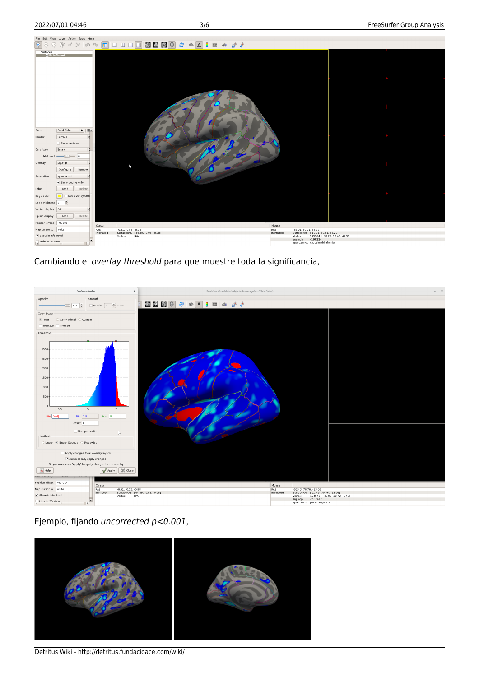

Cambiando el overlay threshold para que muestre toda la significancia,



Ejemplo, fijando uncorrected p<0.001,



Detritus Wiki - http://detritus.fundacioace.com/wiki/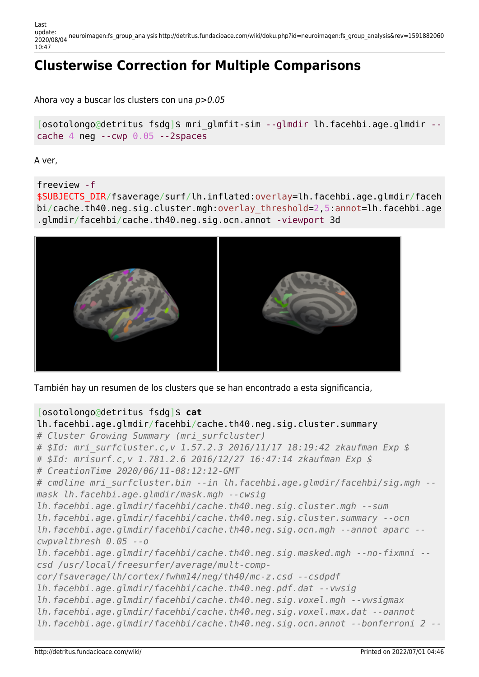Last update: 2020/08/04 neuroimagen:fs\_group\_analysis http://detritus.fundacioace.com/wiki/doku.php?id=neuroimagen:fs\_group\_analysis&rev=1591882060 10:47

## **Clusterwise Correction for Multiple Comparisons**

Ahora voy a buscar los clusters con una p>0.05

[osotolongo@detritus fsdg]\$ mri\_glmfit-sim --glmdir lh.facehbi.age.glmdir - cache 4 neg  $-$ -cwp  $0.05 - 2$ spaces

A ver,

freeview -f

\$SUBJECTS\_DIR/fsaverage/surf/lh.inflated:overlay=lh.facehbi.age.glmdir/faceh bi/cache.th40.neg.sig.cluster.mgh:overlay\_threshold=2,5:annot=lh.facehbi.age .glmdir/facehbi/cache.th40.neg.sig.ocn.annot -viewport 3d



También hay un resumen de los clusters que se han encontrado a esta significancia,

#### [osotolongo@detritus fsdg]\$ **cat**

```
lh.facehbi.age.glmdir/facehbi/cache.th40.neg.sig.cluster.summary
# Cluster Growing Summary (mri_surfcluster)
# $Id: mri_surfcluster.c,v 1.57.2.3 2016/11/17 18:19:42 zkaufman Exp $
# $Id: mrisurf.c,v 1.781.2.6 2016/12/27 16:47:14 zkaufman Exp $
# CreationTime 2020/06/11-08:12:12-GMT
# cmdline mri_surfcluster.bin --in lh.facehbi.age.glmdir/facehbi/sig.mgh --
mask lh.facehbi.age.glmdir/mask.mgh --cwsig
lh.facehbi.age.glmdir/facehbi/cache.th40.neg.sig.cluster.mgh --sum
lh.facehbi.age.glmdir/facehbi/cache.th40.neg.sig.cluster.summary --ocn
lh.facehbi.age.glmdir/facehbi/cache.th40.neg.sig.ocn.mgh --annot aparc --
cwpvalthresh 0.05 --o
lh.facehbi.age.glmdir/facehbi/cache.th40.neg.sig.masked.mgh --no-fixmni --
csd /usr/local/freesurfer/average/mult-comp-
cor/fsaverage/lh/cortex/fwhm14/neg/th40/mc-z.csd --csdpdf
lh.facehbi.age.glmdir/facehbi/cache.th40.neg.pdf.dat --vwsig
lh.facehbi.age.glmdir/facehbi/cache.th40.neg.sig.voxel.mgh --vwsigmax
lh.facehbi.age.glmdir/facehbi/cache.th40.neg.sig.voxel.max.dat --oannot
lh.facehbi.age.glmdir/facehbi/cache.th40.neg.sig.ocn.annot --bonferroni 2 --
```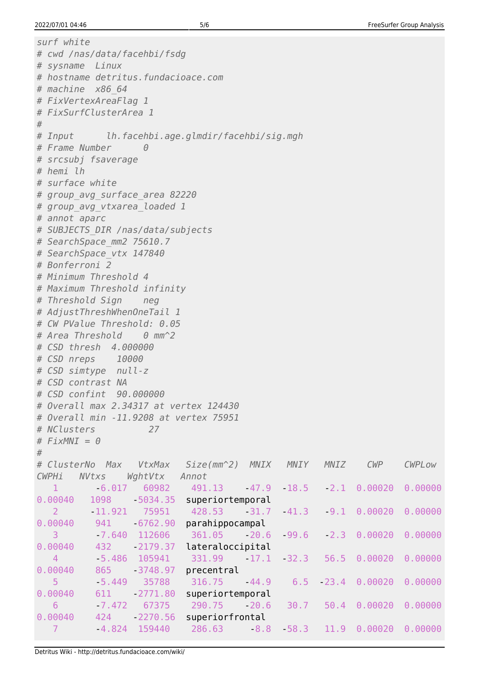```
surf white
# cwd /nas/data/facehbi/fsdg
# sysname Linux
# hostname detritus.fundacioace.com
# machine x86 64
# FixVertexAreaFlag 1
# FixSurfClusterArea 1
## Input
             lh.facehbi.age.glmdir/facehbi/sig.mgh
# Frame Number
                    \theta# srcsubi fsaverage
# hemi lh
# surface white
# group avg surface area 82220
# group avg vtxarea loaded 1
# annot aparc
# SUBJECTS DIR /nas/data/subjects
# SearchSpace mm2 75610.7
# SearchSpace vtx 147840
# Bonferroni 2
# Minimum Threshold 4
# Maximum Threshold infinity
# Threshold Sign
                   neg
# AdjustThreshWhenOneTail 1
# CW PValue Threshold: 0.05
# Area Threshold
                    \theta mm<sup>\sim</sup>2
# CSD thresh 4,000000
# CSD nreps
               10000
# CSD simtype null-z
# CSD contrast NA
# CSD confint 90.000000
# Overall max 2.34317 at vertex 124430
# Overall min -11,9208 at vertex 75951
# NClusters
                     27
# FixMNI = 0## ClusterNo Max
                   VtxMax
                             Size/mm^2)MNIX
                                                MNIY
                                                        MNIZ
                                                                CWPCWPLow
CWPHi
      NVtxs
                 WghtVtx
                           Annot
   \mathbf{1}-6.01760982
                             491.13
                                        -47.9-18.5-2.1 \quad 0.000200.00000
0.00040
          1098
                   -5034.35superiortemporal
          -11.9210.00000
   2
                    75951
                             428.53
                                        -31.7-41.3-9.10.00020
0.00040
           941
                  -6762.90parahippocampal
           -7.640 112606
   3
                              361.05
                                        -20.6-99.6-2.30.000200.00000
                  -2179.370.00040
           432
                             lateraloccipital
           -5.486 105941
                                        -17.10.00020
  \overline{4}331.99
                                                -32.356.5
                                                                       0.00000
0.00040
           865
                  -3748.97precentral
   5
           -5.44935788
                              316.75
                                        -44.96.5-23.40.000200.00000
0.00040611
                  -2771.80superiortemporal
           -7.4726
                    67375
                              290.75
                                        -20.630.7
                                                       50.40.00020
                                                                       0.00000
0.00040
           424
                  -2270.56superiorfrontal
                   159440
   \overline{7}-4.824286.63
                                         -8.8-58.311.9
                                                              0.00020
                                                                       0.00000
```
Detritus Wiki - http://detritus.fundacioace.com/wiki/